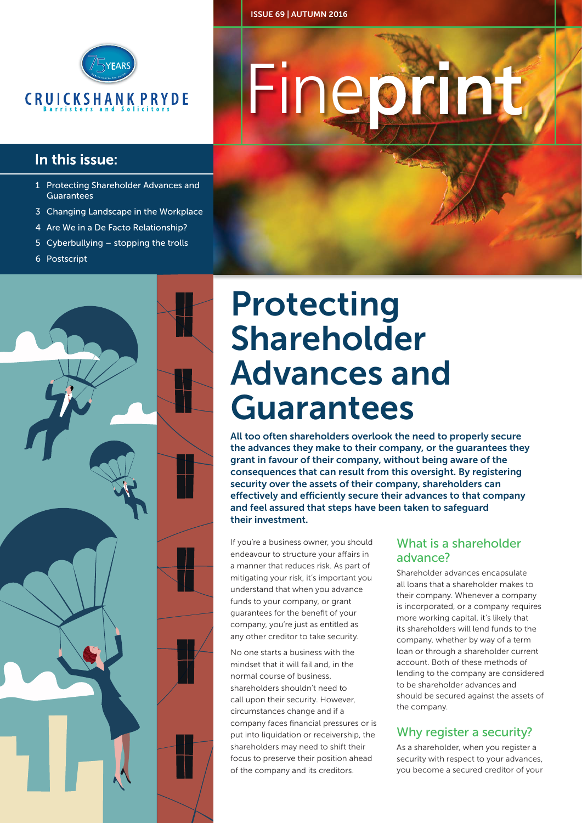

### In this issue:

- 1 Protecting Shareholder Advances and Guarantees
- 3 Changing Landscape in the Workplace
- 4 Are We in a De Facto Relationship?
- 5 Cyberbullying stopping the trolls
- 6 Postscript

# Fineprint

ISSUE 69 | AUTUMN 2016

### Protecting Shareholder Advances and Guarantees

All too often shareholders overlook the need to properly secure the advances they make to their company, or the guarantees they grant in favour of their company, without being aware of the consequences that can result from this oversight. By registering security over the assets of their company, shareholders can effectively and efficiently secure their advances to that company and feel assured that steps have been taken to safeguard their investment.

If you're a business owner, you should endeavour to structure your affairs in a manner that reduces risk. As part of mitigating your risk, it's important you understand that when you advance funds to your company, or grant guarantees for the benefit of your company, you're just as entitled as any other creditor to take security.

No one starts a business with the mindset that it will fail and, in the normal course of business, shareholders shouldn't need to call upon their security. However, circumstances change and if a company faces financial pressures or is put into liquidation or receivership, the shareholders may need to shift their focus to preserve their position ahead of the company and its creditors.

### What is a shareholder advance?

Shareholder advances encapsulate all loans that a shareholder makes to their company. Whenever a company is incorporated, or a company requires more working capital, it's likely that its shareholders will lend funds to the company, whether by way of a term loan or through a shareholder current account. Both of these methods of lending to the company are considered to be shareholder advances and should be secured against the assets of the company.

### Why register a security?

As a shareholder, when you register a security with respect to your advances, you become a secured creditor of your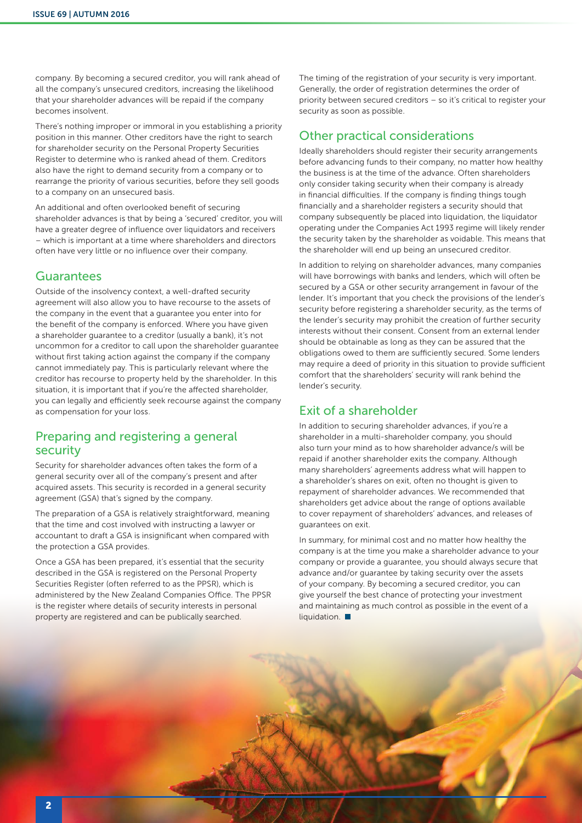company. By becoming a secured creditor, you will rank ahead of all the company's unsecured creditors, increasing the likelihood that your shareholder advances will be repaid if the company becomes insolvent.

There's nothing improper or immoral in you establishing a priority position in this manner. Other creditors have the right to search for shareholder security on the Personal Property Securities Register to determine who is ranked ahead of them. Creditors also have the right to demand security from a company or to rearrange the priority of various securities, before they sell goods to a company on an unsecured basis.

An additional and often overlooked benefit of securing shareholder advances is that by being a 'secured' creditor, you will have a greater degree of influence over liquidators and receivers – which is important at a time where shareholders and directors often have very little or no influence over their company.

#### Guarantees

Outside of the insolvency context, a well-drafted security agreement will also allow you to have recourse to the assets of the company in the event that a guarantee you enter into for the benefit of the company is enforced. Where you have given a shareholder guarantee to a creditor (usually a bank), it's not uncommon for a creditor to call upon the shareholder guarantee without first taking action against the company if the company cannot immediately pay. This is particularly relevant where the creditor has recourse to property held by the shareholder. In this situation, it is important that if you're the affected shareholder, you can legally and efficiently seek recourse against the company as compensation for your loss.

### Preparing and registering a general security

Security for shareholder advances often takes the form of a general security over all of the company's present and after acquired assets. This security is recorded in a general security agreement (GSA) that's signed by the company.

The preparation of a GSA is relatively straightforward, meaning that the time and cost involved with instructing a lawyer or accountant to draft a GSA is insignificant when compared with the protection a GSA provides.

Once a GSA has been prepared, it's essential that the security described in the GSA is registered on the Personal Property Securities Register (often referred to as the PPSR), which is administered by the New Zealand Companies Office. The PPSR is the register where details of security interests in personal property are registered and can be publically searched.

The timing of the registration of your security is very important. Generally, the order of registration determines the order of priority between secured creditors – so it's critical to register your security as soon as possible.

### Other practical considerations

Ideally shareholders should register their security arrangements before advancing funds to their company, no matter how healthy the business is at the time of the advance. Often shareholders only consider taking security when their company is already in financial difficulties. If the company is finding things tough financially and a shareholder registers a security should that company subsequently be placed into liquidation, the liquidator operating under the Companies Act 1993 regime will likely render the security taken by the shareholder as voidable. This means that the shareholder will end up being an unsecured creditor.

In addition to relying on shareholder advances, many companies will have borrowings with banks and lenders, which will often be secured by a GSA or other security arrangement in favour of the lender. It's important that you check the provisions of the lender's security before registering a shareholder security, as the terms of the lender's security may prohibit the creation of further security interests without their consent. Consent from an external lender should be obtainable as long as they can be assured that the obligations owed to them are sufficiently secured. Some lenders may require a deed of priority in this situation to provide sufficient comfort that the shareholders' security will rank behind the lender's security.

### Exit of a shareholder

In addition to securing shareholder advances, if you're a shareholder in a multi-shareholder company, you should also turn your mind as to how shareholder advance/s will be repaid if another shareholder exits the company. Although many shareholders' agreements address what will happen to a shareholder's shares on exit, often no thought is given to repayment of shareholder advances. We recommended that shareholders get advice about the range of options available to cover repayment of shareholders' advances, and releases of guarantees on exit.

In summary, for minimal cost and no matter how healthy the company is at the time you make a shareholder advance to your company or provide a guarantee, you should always secure that advance and/or guarantee by taking security over the assets of your company. By becoming a secured creditor, you can give yourself the best chance of protecting your investment and maintaining as much control as possible in the event of a liquidation.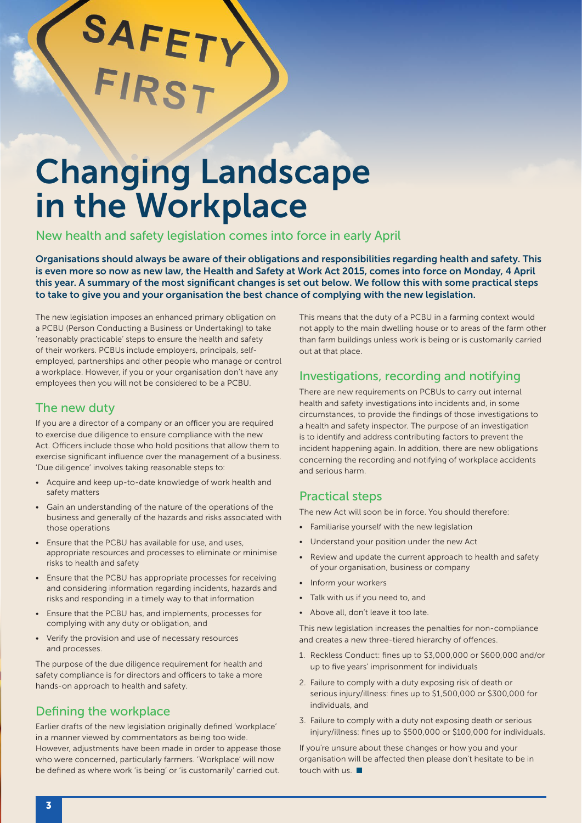### Changing Landscape in the Workplace

New health and safety legislation comes into force in early April

Organisations should always be aware of their obligations and responsibilities regarding health and safety. This is even more so now as new law, the Health and Safety at Work Act 2015, comes into force on Monday, 4 April this year. A summary of the most significant changes is set out below. We follow this with some practical steps to take to give you and your organisation the best chance of complying with the new legislation.

The new legislation imposes an enhanced primary obligation on a PCBU (Person Conducting a Business or Undertaking) to take 'reasonably practicable' steps to ensure the health and safety of their workers. PCBUs include employers, principals, selfemployed, partnerships and other people who manage or control a workplace. However, if you or your organisation don't have any employees then you will not be considered to be a PCBU.

SAFETY

### The new duty

If you are a director of a company or an officer you are required to exercise due diligence to ensure compliance with the new Act. Officers include those who hold positions that allow them to exercise significant influence over the management of a business. 'Due diligence' involves taking reasonable steps to:

- Acquire and keep up-to-date knowledge of work health and safety matters
- Gain an understanding of the nature of the operations of the business and generally of the hazards and risks associated with those operations
- Ensure that the PCBU has available for use, and uses, appropriate resources and processes to eliminate or minimise risks to health and safety
- Ensure that the PCBU has appropriate processes for receiving and considering information regarding incidents, hazards and risks and responding in a timely way to that information
- Ensure that the PCBU has, and implements, processes for complying with any duty or obligation, and
- Verify the provision and use of necessary resources and processes.

The purpose of the due diligence requirement for health and safety compliance is for directors and officers to take a more hands-on approach to health and safety.

### Defining the workplace

Earlier drafts of the new legislation originally defined 'workplace' in a manner viewed by commentators as being too wide. However, adjustments have been made in order to appease those who were concerned, particularly farmers. 'Workplace' will now be defined as where work 'is being' or 'is customarily' carried out.

This means that the duty of a PCBU in a farming context would not apply to the main dwelling house or to areas of the farm other than farm buildings unless work is being or is customarily carried out at that place.

### Investigations, recording and notifying

There are new requirements on PCBUs to carry out internal health and safety investigations into incidents and, in some circumstances, to provide the findings of those investigations to a health and safety inspector. The purpose of an investigation is to identify and address contributing factors to prevent the incident happening again. In addition, there are new obligations concerning the recording and notifying of workplace accidents and serious harm.

### Practical steps

The new Act will soon be in force. You should therefore:

- Familiarise yourself with the new legislation
- Understand your position under the new Act
- Review and update the current approach to health and safety of your organisation, business or company
- Inform your workers
- Talk with us if you need to, and
- Above all, don't leave it too late.

This new legislation increases the penalties for non-compliance and creates a new three-tiered hierarchy of offences.

- 1. Reckless Conduct: fines up to \$3,000,000 or \$600,000 and/or up to five years' imprisonment for individuals
- 2. Failure to comply with a duty exposing risk of death or serious injury/illness: fines up to \$1,500,000 or \$300,000 for individuals, and
- 3. Failure to comply with a duty not exposing death or serious injury/illness: fines up to \$500,000 or \$100,000 for individuals.

If you're unsure about these changes or how you and your organisation will be affected then please don't hesitate to be in touch with us.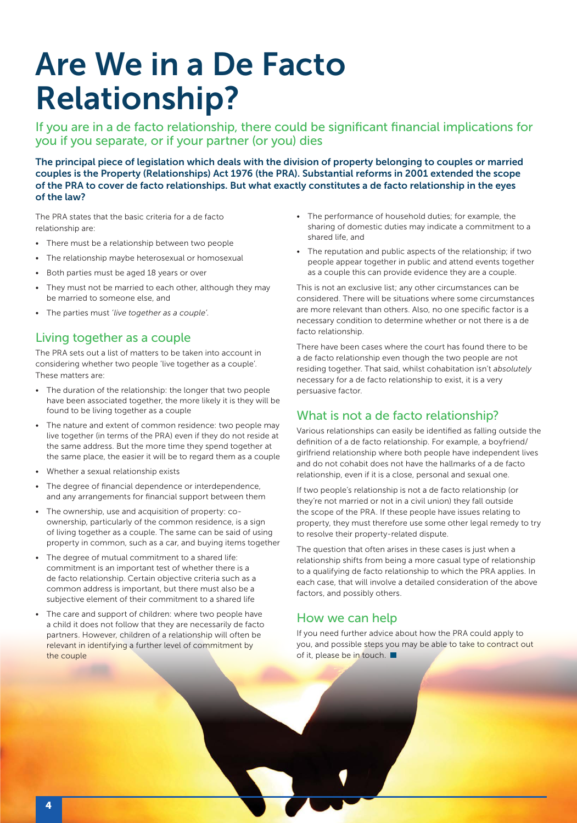### Are We in a De Facto Relationship?

If you are in a de facto relationship, there could be significant financial implications for you if you separate, or if your partner (or you) dies

The principal piece of legislation which deals with the division of property belonging to couples or married couples is the Property (Relationships) Act 1976 (the PRA). Substantial reforms in 2001 extended the scope of the PRA to cover de facto relationships. But what exactly constitutes a de facto relationship in the eyes of the law?

The PRA states that the basic criteria for a de facto relationship are:

- There must be a relationship between two people
- The relationship maybe heterosexual or homosexual
- Both parties must be aged 18 years or over
- They must not be married to each other, although they may be married to someone else, and
- The parties must *'live together as a couple'.*

### Living together as a couple

The PRA sets out a list of matters to be taken into account in considering whether two people 'live together as a couple'. These matters are:

- The duration of the relationship: the longer that two people have been associated together, the more likely it is they will be found to be living together as a couple
- The nature and extent of common residence: two people may live together (in terms of the PRA) even if they do not reside at the same address. But the more time they spend together at the same place, the easier it will be to regard them as a couple
- Whether a sexual relationship exists
- The degree of financial dependence or interdependence, and any arrangements for financial support between them
- The ownership, use and acquisition of property: coownership, particularly of the common residence, is a sign of living together as a couple. The same can be said of using property in common, such as a car, and buying items together
- The degree of mutual commitment to a shared life: commitment is an important test of whether there is a de facto relationship. Certain objective criteria such as a common address is important, but there must also be a subjective element of their commitment to a shared life
- The care and support of children: where two people have a child it does not follow that they are necessarily de facto partners. However, children of a relationship will often be relevant in identifying a further level of commitment by the couple
- The performance of household duties; for example, the sharing of domestic duties may indicate a commitment to a shared life, and
- The reputation and public aspects of the relationship; if two people appear together in public and attend events together as a couple this can provide evidence they are a couple.

This is not an exclusive list; any other circumstances can be considered. There will be situations where some circumstances are more relevant than others. Also, no one specific factor is a necessary condition to determine whether or not there is a de facto relationship.

There have been cases where the court has found there to be a de facto relationship even though the two people are not residing together. That said, whilst cohabitation isn't *absolutely* necessary for a de facto relationship to exist, it is a very persuasive factor.

### What is not a de facto relationship?

Various relationships can easily be identified as falling outside the definition of a de facto relationship. For example, a boyfriend/ girlfriend relationship where both people have independent lives and do not cohabit does not have the hallmarks of a de facto relationship, even if it is a close, personal and sexual one.

If two people's relationship is not a de facto relationship (or they're not married or not in a civil union) they fall outside the scope of the PRA. If these people have issues relating to property, they must therefore use some other legal remedy to try to resolve their property-related dispute.

The question that often arises in these cases is just when a relationship shifts from being a more casual type of relationship to a qualifying de facto relationship to which the PRA applies. In each case, that will involve a detailed consideration of the above factors, and possibly others.

### How we can help

If you need further advice about how the PRA could apply to you, and possible steps you may be able to take to contract out of it, please be in touch.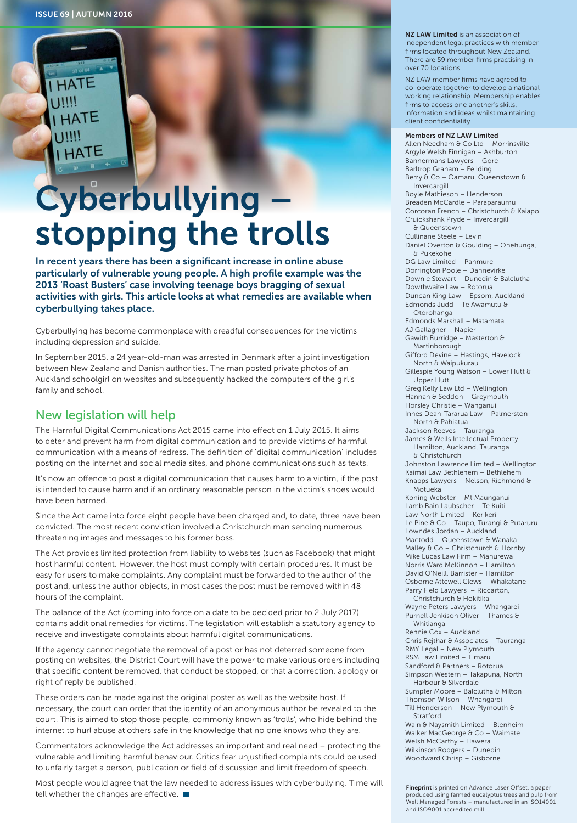**HATE** 

HATE

**I HATE** 

### **Cyberbullying** stopping the trolls

In recent years there has been a significant increase in online abuse particularly of vulnerable young people. A high profile example was the 2013 'Roast Busters' case involving teenage boys bragging of sexual activities with girls. This article looks at what remedies are available when cyberbullying takes place.

Cyberbullying has become commonplace with dreadful consequences for the victims including depression and suicide.

In September 2015, a 24 year-old-man was arrested in Denmark after a joint investigation between New Zealand and Danish authorities. The man posted private photos of an Auckland schoolgirl on websites and subsequently hacked the computers of the girl's family and school.

### New legislation will help

The Harmful Digital Communications Act 2015 came into effect on 1 July 2015. It aims to deter and prevent harm from digital communication and to provide victims of harmful communication with a means of redress. The definition of 'digital communication' includes posting on the internet and social media sites, and phone communications such as texts.

It's now an offence to post a digital communication that causes harm to a victim, if the post is intended to cause harm and if an ordinary reasonable person in the victim's shoes would have been harmed.

Since the Act came into force eight people have been charged and, to date, three have been convicted. The most recent conviction involved a Christchurch man sending numerous threatening images and messages to his former boss.

The Act provides limited protection from liability to websites (such as Facebook) that might host harmful content. However, the host must comply with certain procedures. It must be easy for users to make complaints. Any complaint must be forwarded to the author of the post and, unless the author objects, in most cases the post must be removed within 48 hours of the complaint.

The balance of the Act (coming into force on a date to be decided prior to 2 July 2017) contains additional remedies for victims. The legislation will establish a statutory agency to receive and investigate complaints about harmful digital communications.

If the agency cannot negotiate the removal of a post or has not deterred someone from posting on websites, the District Court will have the power to make various orders including that specific content be removed, that conduct be stopped, or that a correction, apology or right of reply be published.

These orders can be made against the original poster as well as the website host. If necessary, the court can order that the identity of an anonymous author be revealed to the court. This is aimed to stop those people, commonly known as 'trolls', who hide behind the internet to hurl abuse at others safe in the knowledge that no one knows who they are.

Commentators acknowledge the Act addresses an important and real need – protecting the vulnerable and limiting harmful behaviour. Critics fear unjustified complaints could be used to unfairly target a person, publication or field of discussion and limit freedom of speech.

Most people would agree that the law needed to address issues with cyberbullying. Time will tell whether the changes are effective.

NZ LAW Limited is an association of independent legal practices with member firms located throughout New Zealand. There are 59 member firms practising in over 70 locations.

NZ LAW member firms have agreed to co-operate together to develop a national working relationship. Membership enables firms to access one another's skills, information and ideas whilst maintaining client confidentiality.

#### Members of NZ LAW Limited

Allen Needham & Co Ltd – Morrinsville Argyle Welsh Finnigan – Ashburton Bannermans Lawyers – Gore Barltrop Graham – Feilding Berry & Co - Oamaru, Queenstown & Invercargill Boyle Mathieson – Henderson Breaden McCardle – Paraparaumu Corcoran French – Christchurch & Kaiapoi Cruickshank Pryde – Invercargill & Queenstown Cullinane Steele – Levin Daniel Overton & Goulding - Onehunga, & Pukekohe DG Law Limited – Panmure Dorrington Poole – Dannevirke Downie Stewart – Dunedin & Balclutha Dowthwaite Law – Rotorua Duncan King Law – Epsom, Auckland Edmonds Judd – Te Awamutu & Otorohanga Edmonds Marshall – Matamata AJ Gallagher – Napier Gawith Burridge – Masterton & Martinborough Gifford Devine – Hastings, Havelock North & Waipukurau Gillespie Young Watson – Lower Hutt & Upper Hutt Greg Kelly Law Ltd – Wellington Hannan & Seddon – Greymouth Horsley Christie – Wanganui Innes Dean-Tararua Law – Palmerston North & Pahiatua Jackson Reeves – Tauranga James & Wells Intellectual Property -Hamilton, Auckland, Tauranga & Christchurch Johnston Lawrence Limited – Wellington Kaimai Law Bethlehem – Bethlehem Knapps Lawyers – Nelson, Richmond & Motueka Koning Webster – Mt Maunganui Lamb Bain Laubscher – Te Kuiti Law North Limited – Kerikeri Le Pine & Co - Taupo, Turangi & Putaruru Lowndes Jordan – Auckland Mactodd - Queenstown & Wanaka Malley & Co - Christchurch & Hornby Mike Lucas Law Firm – Manurewa Norris Ward McKinnon – Hamilton David O'Neill, Barrister – Hamilton Osborne Attewell Clews – Whakatane Parry Field Lawyers – Riccarton, Christchurch & Hokitika Wayne Peters Lawyers – Whangarei Purnell Jenkison Oliver – Thames & Whitianga Rennie Cox – Auckland Chris Rejthar & Associates – Tauranga RMY Legal – New Plymouth RSM Law Limited – Timaru Sandford & Partners - Rotorua Simpson Western – Takapuna, North Harbour & Silverdale Sumpter Moore - Balclutha & Milton Thomson Wilson – Whangarei Till Henderson – New Plymouth  $\theta$ Stratford Wain & Naysmith Limited - Blenheim Walker MacGeorge & Co – Waimate Welsh McCarthy – Hawera Wilkinson Rodgers – Dunedin Woodward Chrisp – Gisborne

Fineprint is printed on Advance Laser Offset, a paper produced using farmed eucalyptus trees and pulp from Well Managed Forests – manufactured in an ISO14001 and ISO9001 accredited mill.